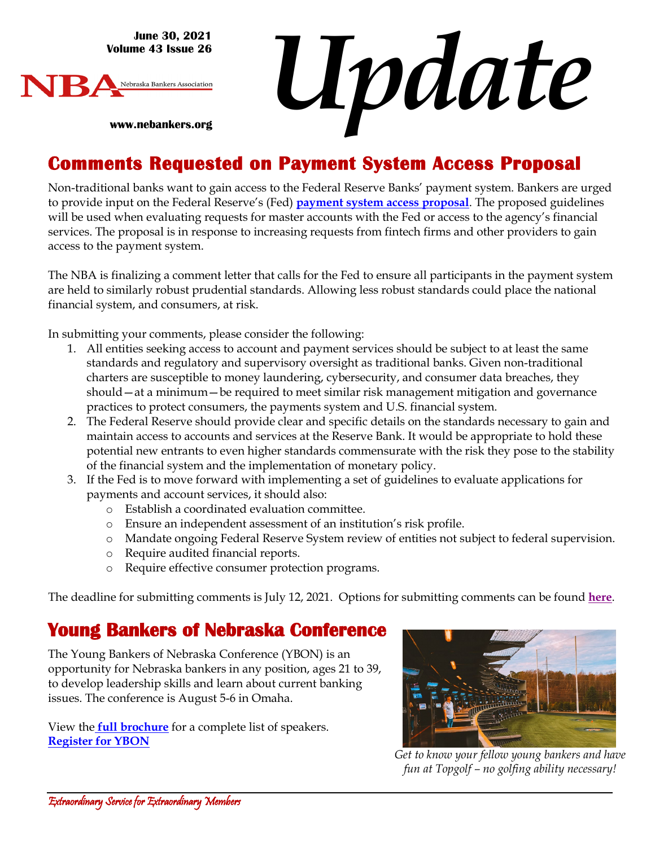**June 30, 2021 Volume 43 Issue 26**

**www.nebankers.org**



*Update*

#### **Comments Requested on Payment System Access Proposal**

Non-traditional banks want to gain access to the Federal Reserve Banks' payment system. Bankers are urged to provide input on the Federal Reserve's (Fed) **[payment system access proposal](https://www.federalregister.gov/documents/2021/05/11/2021-09873/proposed-guidelines-for-evaluating-account-and-services-requests)**. The proposed guidelines will be used when evaluating requests for master accounts with the Fed or access to the agency's financial services. The proposal is in response to increasing requests from fintech firms and other providers to gain access to the payment system.

The NBA is finalizing a comment letter that calls for the Fed to ensure all participants in the payment system are held to similarly robust prudential standards. Allowing less robust standards could place the national financial system, and consumers, at risk.

In submitting your comments, please consider the following:

- 1. All entities seeking access to account and payment services should be subject to at least the same standards and regulatory and supervisory oversight as traditional banks. Given non-traditional charters are susceptible to money laundering, cybersecurity, and consumer data breaches, they should—at a minimum—be required to meet similar risk management mitigation and governance practices to protect consumers, the payments system and U.S. financial system.
- 2. The Federal Reserve should provide clear and specific details on the standards necessary to gain and maintain access to accounts and services at the Reserve Bank. It would be appropriate to hold these potential new entrants to even higher standards commensurate with the risk they pose to the stability of the financial system and the implementation of monetary policy.
- 3. If the Fed is to move forward with implementing a set of guidelines to evaluate applications for payments and account services, it should also:
	- o Establish a coordinated evaluation committee.
	- o Ensure an independent assessment of an institution's risk profile.
	- o Mandate ongoing Federal Reserve System review of entities not subject to federal supervision.
	- o Require audited financial reports.
	- o Require effective consumer protection programs.

The deadline for submitting comments is July 12, 2021. Options for submitting comments can be found **[here](https://www.federalregister.gov/documents/2021/05/11/2021-09873/proposed-guidelines-for-evaluating-account-and-services-requests#addresses)**.

#### **Young Bankers of Nebraska Conference**

The Young Bankers of Nebraska Conference (YBON) is an opportunity for Nebraska bankers in any position, ages 21 to 39, to develop leadership skills and learn about current banking issues. The conference is August 5-6 in Omaha.

View th[e](https://web.nebankers.org/External/WCPages/WCWebContent/WebContentPage.aspx?ContentID=1994) **[full brochure](https://web.nebankers.org/External/WCPages/WCWebContent/WebContentPage.aspx?ContentID=1994)** for a complete list of speakers. **Register [for YBON](https://web.nebankers.org/events/2021YBON%20Annual%20Conference%20%20Omaha-11574/details)**



*Get to know your fellow young bankers and have fun at Topgolf – no golfing ability necessary!*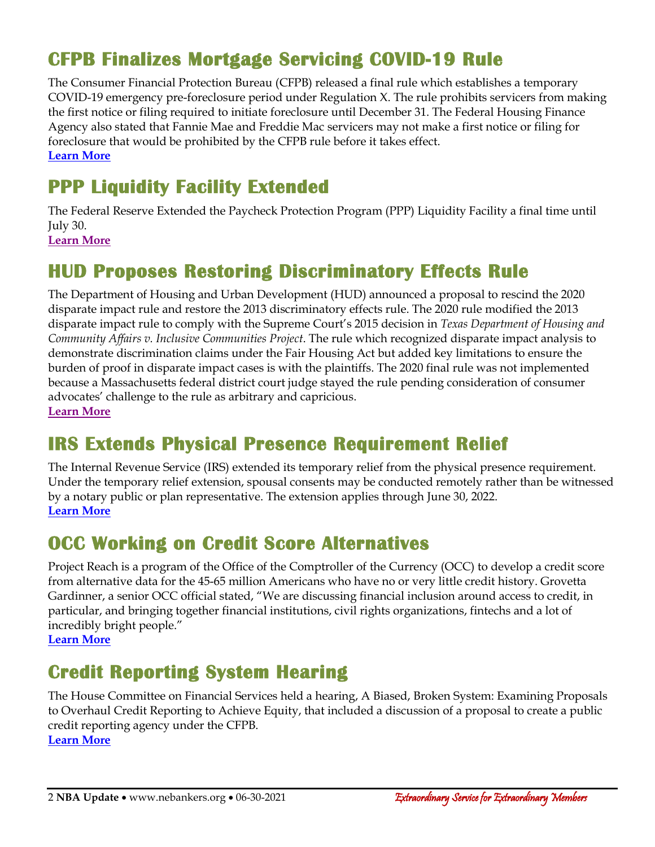# **CFPB Finalizes Mortgage Servicing COVID-19 Rule**

The Consumer Financial Protection Bureau (CFPB) released a final rule which establishes a temporary COVID-19 emergency pre-foreclosure period under Regulation X. The rule prohibits servicers from making the first notice or filing required to initiate foreclosure until December 31. The Federal Housing Finance Agency also stated that Fannie Mae and Freddie Mac servicers may not make a first notice or filing for foreclosure that would be prohibited by the CFPB rule before it takes effect. **[Learn More](https://files.consumerfinance.gov/f/documents/cfpb_covid-mortgage-servicing-rule_executive-summary_2021-06.pdf)**

## **PPP Liquidity Facility Extended**

The Federal Reserve Extended the Paycheck Protection Program (PPP) Liquidity Facility a final time until July 30.

**[Learn More](https://www.federalreserve.gov/newsevents/pressreleases/monetary20210625a.htm)**

### **HUD Proposes Restoring Discriminatory Effects Rule**

The Department of Housing and Urban Development (HUD) announced a proposal to rescind the 2020 disparate impact rule and restore the 2013 discriminatory effects rule. The 2020 rule modified the 2013 disparate impact rule to comply with the Supreme Court's 2015 decision in *Texas Department of Housing and Community Affairs v. Inclusive Communities Project*. The rule which recognized disparate impact analysis to demonstrate discrimination claims under the Fair Housing Act but added key limitations to ensure the burden of proof in disparate impact cases is with the plaintiffs. The 2020 final rule was not implemented because a Massachusetts federal district court judge stayed the rule pending consideration of consumer advocates' challenge to the rule as arbitrary and capricious. **[Learn More](https://www.hud.gov/press/press_releases_media_advisories/HUD_No_21_107)**

# **IRS Extends Physical Presence Requirement Relief**

The Internal Revenue Service (IRS) extended its temporary relief from the physical presence requirement. Under the temporary relief extension, spousal consents may be conducted remotely rather than be witnessed by a notary public or plan representative. The extension applies through June 30, 2022. **[Learn More](https://www.irs.gov/pub/irs-drop/n-21-40.pdf)**

#### **OCC Working on Credit Score Alternatives**

Project Reach is a program of the Office of the Comptroller of the Currency (OCC) to develop a credit score from alternative data for the 45-65 million Americans who have no or very little credit history. Grovetta Gardinner, a senior OCC official stated, "We are discussing financial inclusion around access to credit, in particular, and bringing together financial institutions, civil rights organizations, fintechs and a lot of incredibly bright people."

**[Learn More](https://bankingjournal.aba.com/2021/06/occ-working-with-tech-firms-on-credit-score-alternatives/)**

# **Credit Reporting System Hearing**

The House Committee on Financial Services held a hearing, A Biased, Broken System: Examining Proposals to Overhaul Credit Reporting to Achieve Equity, that included a discussion of a proposal to create a public credit reporting agency under the CFPB. **[Learn More](https://financialservices.house.gov/calendar/eventsingle.aspx?EventID=407957)**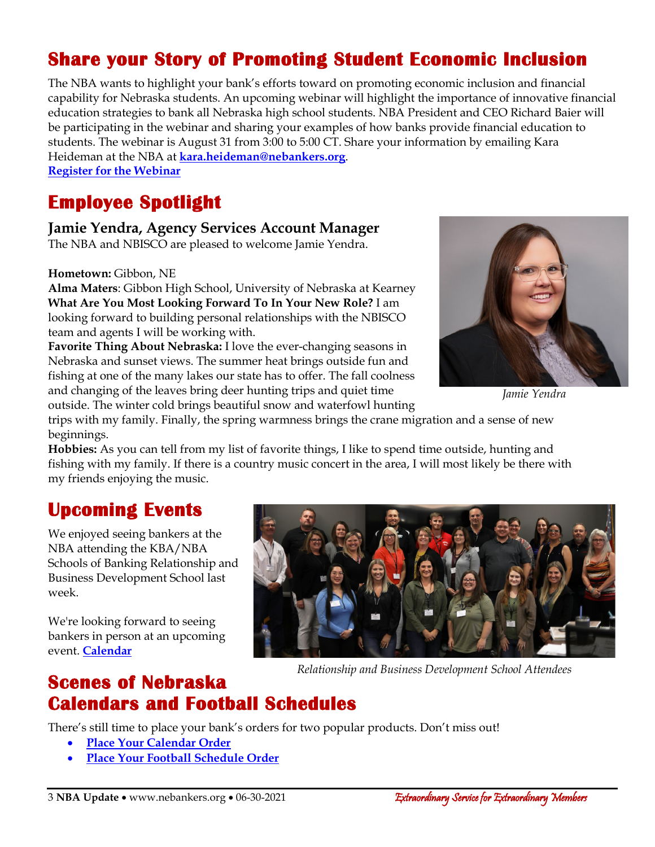# **Share your Story of Promoting Student Economic Inclusion**

The NBA wants to highlight your bank's efforts toward on promoting economic inclusion and financial capability for Nebraska students. An upcoming webinar will highlight the importance of innovative financial education strategies to bank all Nebraska high school students. NBA President and CEO Richard Baier will be participating in the webinar and sharing your examples of how banks provide financial education to students. The webinar is August 31 from 3:00 to 5:00 CT. Share your information by emailing Kara Heideman at the NBA at **kara.heideman@nebankers.org**.

**Register [for the Webinar](https://web.cvent.com/event/c964464b-5451-4964-bec8-7e12723019ae/regProcessStep1)**

#### **Employee Spotlight**

#### **Jamie Yendra, Agency Services Account Manager**

The NBA and NBISCO are pleased to welcome Jamie Yendra.

**Hometown:** Gibbon, NE

**Alma Maters**: Gibbon High School, University of Nebraska at Kearney **What Are You Most Looking Forward To In Your New Role?** I am looking forward to building personal relationships with the NBISCO team and agents I will be working with.

**Favorite Thing About Nebraska:** I love the ever-changing seasons in Nebraska and sunset views. The summer heat brings outside fun and fishing at one of the many lakes our state has to offer. The fall coolness and changing of the leaves bring deer hunting trips and quiet time outside. The winter cold brings beautiful snow and waterfowl hunting



*Jamie Yendra Jamie Yendra*

trips with my family. Finally, the spring warmness brings the crane migration and a sense of new beginnings.

**Hobbies:** As you can tell from my list of favorite things, I like to spend time outside, hunting and fishing with my family. If there is a country music concert in the area, I will most likely be there with my friends enjoying the music.

#### **Upcoming Events**

We enjoyed seeing bankers at the NBA attending the KBA/NBA Schools of Banking Relationship and Business Development School last week.

We're looking forward to seeing bankers in person at an upcoming event. **[Calendar](https://web.nebankers.org/events)** 



*Relationship and Business Development School Attendees*

#### **Scenes of Nebraska Calendars and Football Schedules**

There's still time to place your bank's orders for two popular products. Don't miss out!

- **[Place Your Calendar Order](https://www.nebankers.org/calendars.html)**
- **[Place Your Football Schedule Order](https://www.nebankers.org/footballschedules.html)**